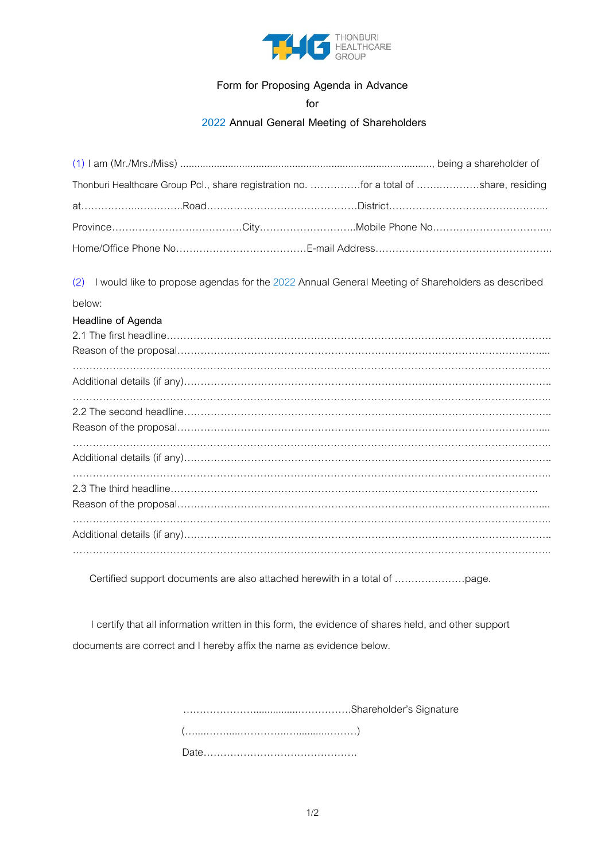

### **Form for Proposing Agenda in Advance**

**for**

#### **2022 Annual General Meeting of Shareholders**

| Thonburi Healthcare Group Pcl., share registration no. for a total of share, residing                   |  |
|---------------------------------------------------------------------------------------------------------|--|
|                                                                                                         |  |
|                                                                                                         |  |
|                                                                                                         |  |
| I would like to propose agendas for the 2022 Annual General Meeting of Shareholders as described<br>(2) |  |
| below:                                                                                                  |  |
| Headline of Agenda                                                                                      |  |
|                                                                                                         |  |
|                                                                                                         |  |
|                                                                                                         |  |
|                                                                                                         |  |
|                                                                                                         |  |
|                                                                                                         |  |

Certified support documents are also attached herewith in a total of …………………page.

I certify that all information written in this form, the evidence of shares held, and other support documents are correct and I hereby affix the name as evidence below.

> …………………................…………….Shareholder's Signature (…....…….....…………..…...........………) Date……………………………………….